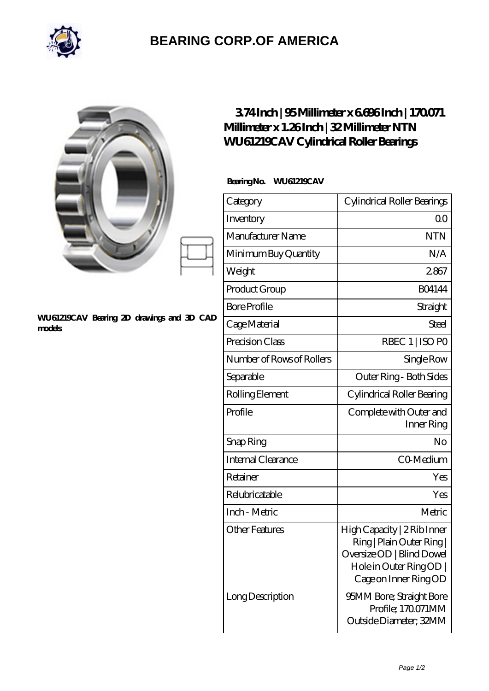

## **[BEARING CORP.OF AMERICA](https://bluemondayreview.com)**

|                                                     | 374Inch   95Millimeter x 6696Inch   170071<br>Millimeter x 1.26Inch   32 Millimeter NTN<br>WU61219CAV Cylindrical Roller Bearings |                                                                                                                                         |
|-----------------------------------------------------|-----------------------------------------------------------------------------------------------------------------------------------|-----------------------------------------------------------------------------------------------------------------------------------------|
|                                                     | BearingNo.<br><b>WU61219CAV</b>                                                                                                   |                                                                                                                                         |
|                                                     | Category                                                                                                                          | Cylindrical Roller Bearings                                                                                                             |
|                                                     | Inventory                                                                                                                         | 0 <sup>0</sup>                                                                                                                          |
|                                                     | Manufacturer Name                                                                                                                 | <b>NTN</b>                                                                                                                              |
|                                                     | Minimum Buy Quantity                                                                                                              | N/A                                                                                                                                     |
|                                                     | Weight                                                                                                                            | 2867                                                                                                                                    |
|                                                     | Product Group                                                                                                                     | <b>BO4144</b>                                                                                                                           |
|                                                     | <b>Bore Profile</b>                                                                                                               | Straight                                                                                                                                |
| WU61219CAV Bearing 2D drawings and 3D CAD<br>models | Cage Material                                                                                                                     | Steel                                                                                                                                   |
|                                                     | Precision Class                                                                                                                   | RBEC 1   ISO PO                                                                                                                         |
|                                                     | Number of Rows of Rollers                                                                                                         | Single Row                                                                                                                              |
|                                                     | Separable                                                                                                                         | Outer Ring - Both Sides                                                                                                                 |
|                                                     | Rolling Element                                                                                                                   | Cylindrical Roller Bearing                                                                                                              |
|                                                     | Profile                                                                                                                           | Complete with Outer and<br>Inner Ring                                                                                                   |
|                                                     | Snap Ring                                                                                                                         | $\rm No$                                                                                                                                |
|                                                     | Internal Clearance                                                                                                                | CO Medium                                                                                                                               |
|                                                     | Retainer                                                                                                                          | Yes                                                                                                                                     |
|                                                     | Relubricatable                                                                                                                    | Yes                                                                                                                                     |
|                                                     | Inch - Metric                                                                                                                     | Metric                                                                                                                                  |
|                                                     | <b>Other Features</b>                                                                                                             | High Capacity   2 Rib Inner<br>Ring   Plain Outer Ring  <br>Oversize OD   Blind Dowel<br>Hole in Outer Ring OD<br>Cage on Inner Ring OD |
|                                                     | Long Description                                                                                                                  | 95MM Bore; Straight Bore<br>Profile; 170071MM<br>Outside Diameter; 32MM                                                                 |